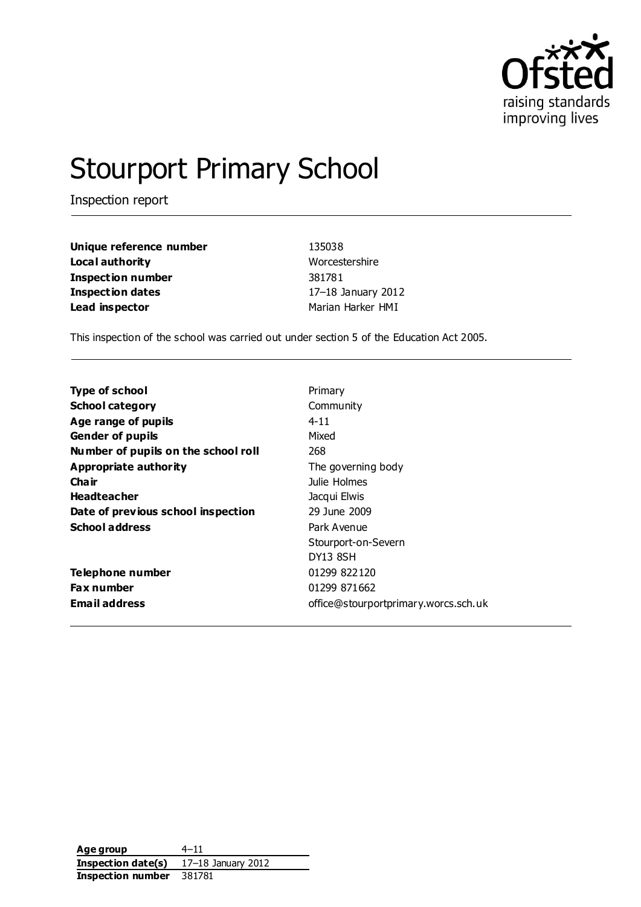

# Stourport Primary School

Inspection report

| Unique reference number | 135038             |
|-------------------------|--------------------|
| Local authority         | Worcestershire     |
| Inspection number       | 381781             |
| Inspection dates        | 17-18 January 2012 |
| Lead inspector          | Marian Harker HMI  |

This inspection of the school was carried out under section 5 of the Education Act 2005.

| <b>Type of school</b>               | Primary                              |
|-------------------------------------|--------------------------------------|
| <b>School category</b>              | Community                            |
| Age range of pupils                 | $4 - 11$                             |
| <b>Gender of pupils</b>             | Mixed                                |
| Number of pupils on the school roll | 268                                  |
| Appropriate authority               | The governing body                   |
| Cha ir                              | Julie Holmes                         |
| <b>Headteacher</b>                  | Jacqui Elwis                         |
| Date of previous school inspection  | 29 June 2009                         |
| <b>School address</b>               | Park Avenue                          |
|                                     | Stourport-on-Severn                  |
|                                     | DY13 8SH                             |
| Telephone number                    | 01299 822120                         |
| <b>Fax number</b>                   | 01299 871662                         |
| <b>Email address</b>                | office@stourportprimary.worcs.sch.uk |

**Age group** 4–11 **Inspection date(s)** 17–18 January 2012 **Inspection number** 381781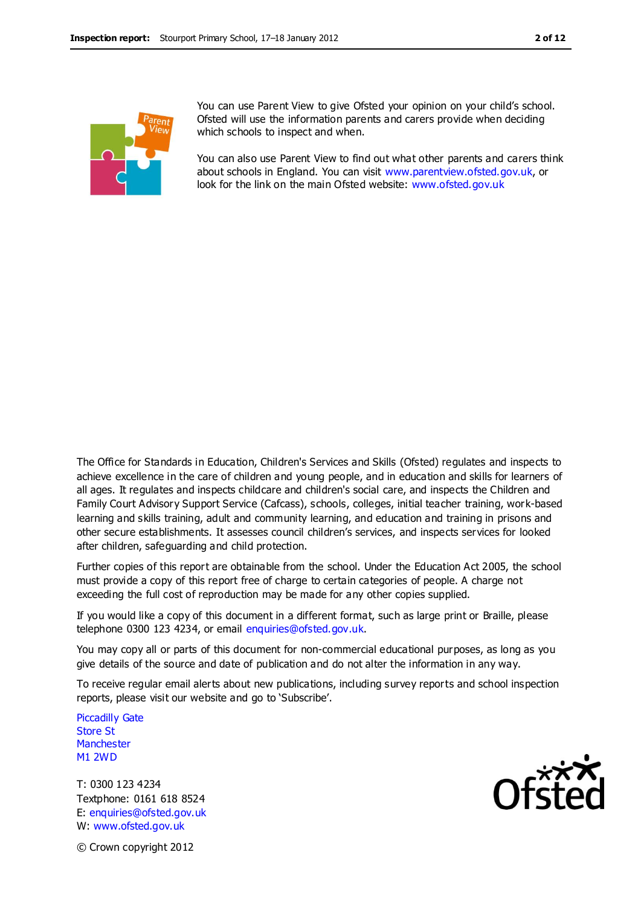

You can use Parent View to give Ofsted your opinion on your child's school. Ofsted will use the information parents and carers provide when deciding which schools to inspect and when.

You can also use Parent View to find out what other parents and carers think about schools in England. You can visit [www.parentview.ofsted.gov.uk,](http://www.parentview.ofsted.gov.uk/) or look for the link on the main Ofsted website: [www.ofsted.gov.uk](http://www.ofsted.gov.uk/)

The Office for Standards in Education, Children's Services and Skills (Ofsted) regulates and inspects to achieve excellence in the care of children and young people, and in education and skills for learners of all ages. It regulates and inspects childcare and children's social care, and inspects the Children and Family Court Advisory Support Service (Cafcass), schools, colleges, initial teacher training, work-based learning and skills training, adult and community learning, and education and training in prisons and other secure establishments. It assesses council children's services, and inspects services for looked after children, safeguarding and child protection.

Further copies of this report are obtainable from the school. Under the Education Act 2005, the school must provide a copy of this report free of charge to certain categories of people. A charge not exceeding the full cost of reproduction may be made for any other copies supplied.

If you would like a copy of this document in a different format, such as large print or Braille, please telephone 0300 123 4234, or email enquiries@ofsted.gov.uk.

You may copy all or parts of this document for non-commercial educational purposes, as long as you give details of the source and date of publication and do not alter the information in any way.

To receive regular email alerts about new publications, including survey reports and school inspection reports, please visit our website and go to 'Subscribe'.

Piccadilly Gate Store St **Manchester** M1 2WD

T: 0300 123 4234 Textphone: 0161 618 8524 E: enquiries@ofsted.gov.uk W: www.ofsted.gov.uk



© Crown copyright 2012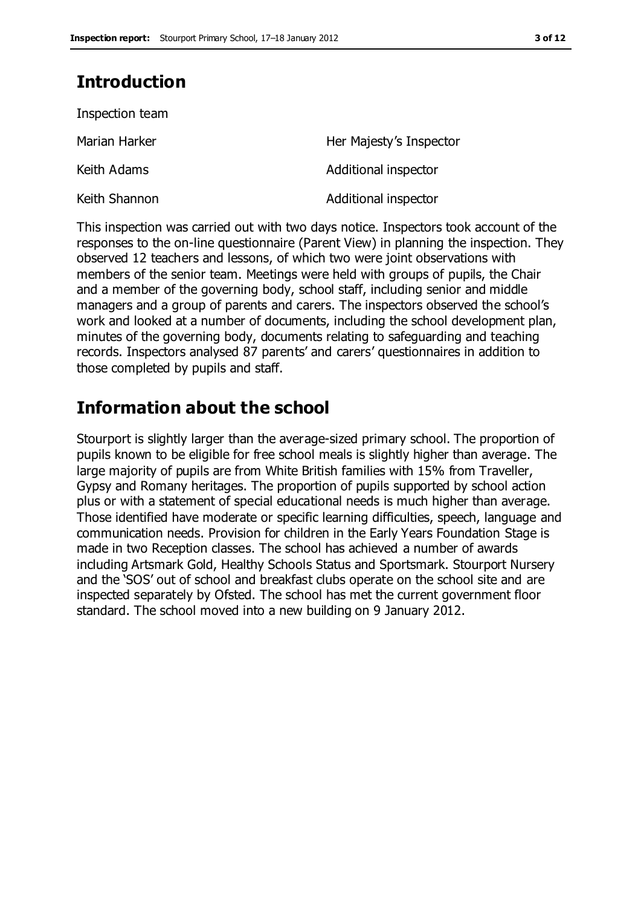# **Introduction**

| Inspection team |                         |
|-----------------|-------------------------|
| Marian Harker   | Her Majesty's Inspector |
| Keith Adams     | Additional inspector    |
| Keith Shannon   | Additional inspector    |

This inspection was carried out with two days notice. Inspectors took account of the responses to the on-line questionnaire (Parent View) in planning the inspection. They observed 12 teachers and lessons, of which two were joint observations with members of the senior team. Meetings were held with groups of pupils, the Chair and a member of the governing body, school staff, including senior and middle managers and a group of parents and carers. The inspectors observed the school's work and looked at a number of documents, including the school development plan, minutes of the governing body, documents relating to safeguarding and teaching records. Inspectors analysed 87 parents' and carers' questionnaires in addition to those completed by pupils and staff.

# **Information about the school**

Stourport is slightly larger than the average-sized primary school. The proportion of pupils known to be eligible for free school meals is slightly higher than average. The large majority of pupils are from White British families with 15% from Traveller, Gypsy and Romany heritages. The proportion of pupils supported by school action plus or with a statement of special educational needs is much higher than average. Those identified have moderate or specific learning difficulties, speech, language and communication needs. Provision for children in the Early Years Foundation Stage is made in two Reception classes. The school has achieved a number of awards including Artsmark Gold, Healthy Schools Status and Sportsmark. Stourport Nursery and the 'SOS' out of school and breakfast clubs operate on the school site and are inspected separately by Ofsted. The school has met the current government floor standard. The school moved into a new building on 9 January 2012.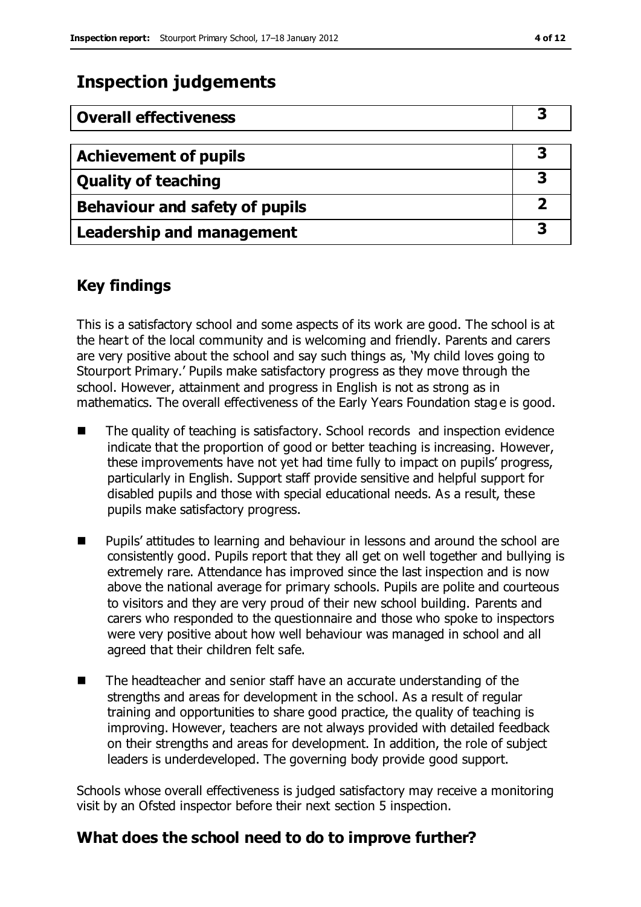# **Inspection judgements**

| <b>Overall effectiveness</b>     |  |
|----------------------------------|--|
|                                  |  |
| <b>Achievement of pupils</b>     |  |
| <b>Quality of teaching</b>       |  |
| Behaviour and safety of pupils   |  |
| <b>Leadership and management</b> |  |

## **Key findings**

This is a satisfactory school and some aspects of its work are good. The school is at the heart of the local community and is welcoming and friendly. Parents and carers are very positive about the school and say such things as, 'My child loves going to Stourport Primary.' Pupils make satisfactory progress as they move through the school. However, attainment and progress in English is not as strong as in mathematics. The overall effectiveness of the Early Years Foundation stage is good.

- The quality of teaching is satisfactory. School records and inspection evidence indicate that the proportion of good or better teaching is increasing. However, these improvements have not yet had time fully to impact on pupils' progress, particularly in English. Support staff provide sensitive and helpful support for disabled pupils and those with special educational needs. As a result, these pupils make satisfactory progress.
- Pupils' attitudes to learning and behaviour in lessons and around the school are consistently good. Pupils report that they all get on well together and bullying is extremely rare. Attendance has improved since the last inspection and is now above the national average for primary schools. Pupils are polite and courteous to visitors and they are very proud of their new school building. Parents and carers who responded to the questionnaire and those who spoke to inspectors were very positive about how well behaviour was managed in school and all agreed that their children felt safe.
- The headteacher and senior staff have an accurate understanding of the strengths and areas for development in the school. As a result of regular training and opportunities to share good practice, the quality of teaching is improving. However, teachers are not always provided with detailed feedback on their strengths and areas for development. In addition, the role of subject leaders is underdeveloped. The governing body provide good support.

Schools whose overall effectiveness is judged satisfactory may receive a monitoring visit by an Ofsted inspector before their next section 5 inspection.

### **What does the school need to do to improve further?**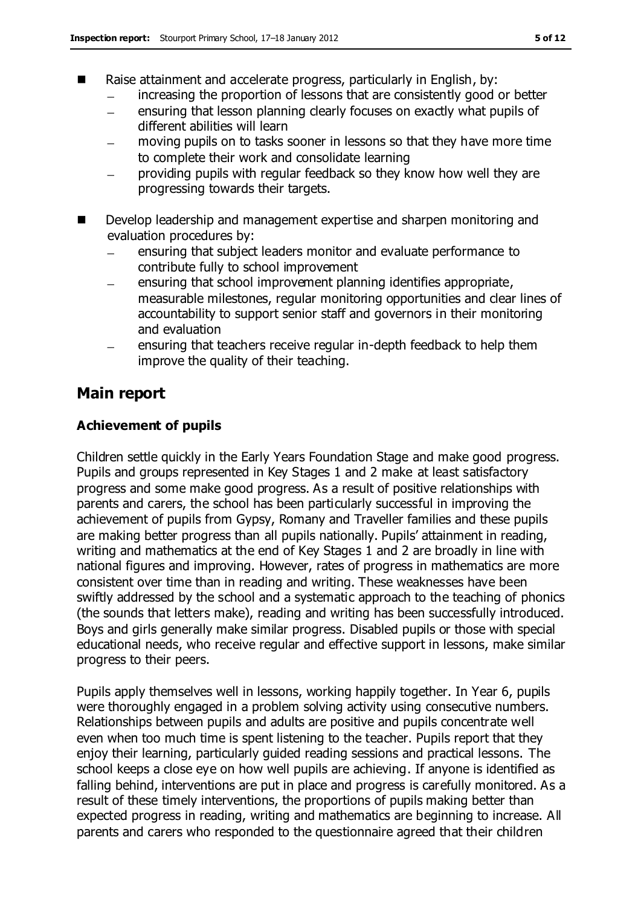- Raise attainment and accelerate progress, particularly in English, by:
	- increasing the proportion of lessons that are consistently good or better
	- ensuring that lesson planning clearly focuses on exactly what pupils of  $\frac{1}{2}$ different abilities will learn
	- moving pupils on to tasks sooner in lessons so that they have more time to complete their work and consolidate learning
	- providing pupils with regular feedback so they know how well they are progressing towards their targets.
- Develop leadership and management expertise and sharpen monitoring and evaluation procedures by:
	- ensuring that subject leaders monitor and evaluate performance to contribute fully to school improvement
	- ensuring that school improvement planning identifies appropriate, measurable milestones, regular monitoring opportunities and clear lines of accountability to support senior staff and governors in their monitoring and evaluation
	- ensuring that teachers receive regular in-depth feedback to help them improve the quality of their teaching.

### **Main report**

### **Achievement of pupils**

Children settle quickly in the Early Years Foundation Stage and make good progress. Pupils and groups represented in Key Stages 1 and 2 make at least satisfactory progress and some make good progress. As a result of positive relationships with parents and carers, the school has been particularly successful in improving the achievement of pupils from Gypsy, Romany and Traveller families and these pupils are making better progress than all pupils nationally. Pupils' attainment in reading, writing and mathematics at the end of Key Stages 1 and 2 are broadly in line with national figures and improving. However, rates of progress in mathematics are more consistent over time than in reading and writing. These weaknesses have been swiftly addressed by the school and a systematic approach to the teaching of phonics (the sounds that letters make), reading and writing has been successfully introduced. Boys and girls generally make similar progress. Disabled pupils or those with special educational needs, who receive regular and effective support in lessons, make similar progress to their peers.

Pupils apply themselves well in lessons, working happily together. In Year 6, pupils were thoroughly engaged in a problem solving activity using consecutive numbers. Relationships between pupils and adults are positive and pupils concentrate well even when too much time is spent listening to the teacher. Pupils report that they enjoy their learning, particularly guided reading sessions and practical lessons. The school keeps a close eye on how well pupils are achieving. If anyone is identified as falling behind, interventions are put in place and progress is carefully monitored. As a result of these timely interventions, the proportions of pupils making better than expected progress in reading, writing and mathematics are beginning to increase. All parents and carers who responded to the questionnaire agreed that their children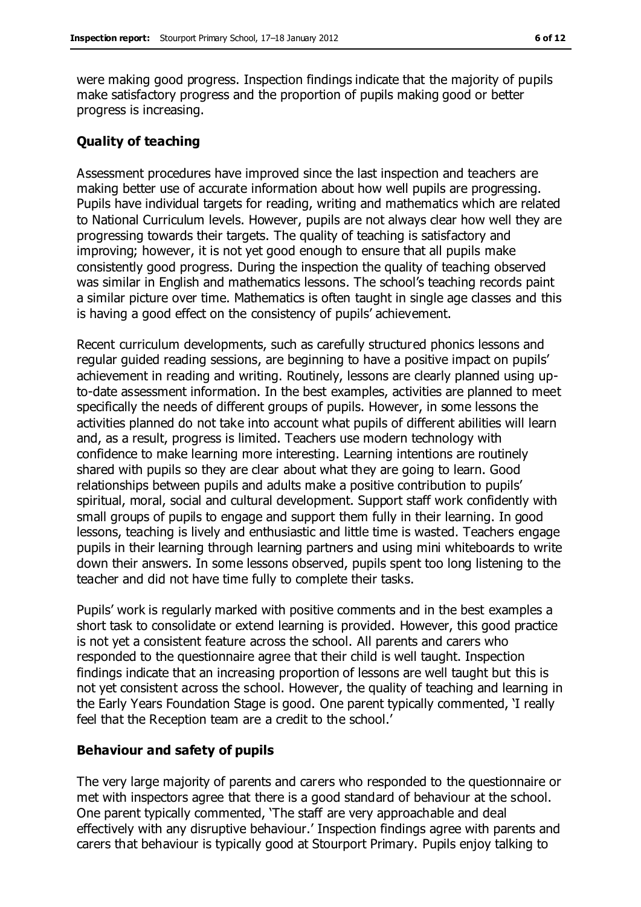were making good progress. Inspection findings indicate that the majority of pupils make satisfactory progress and the proportion of pupils making good or better progress is increasing.

#### **Quality of teaching**

Assessment procedures have improved since the last inspection and teachers are making better use of accurate information about how well pupils are progressing. Pupils have individual targets for reading, writing and mathematics which are related to National Curriculum levels. However, pupils are not always clear how well they are progressing towards their targets. The quality of teaching is satisfactory and improving; however, it is not yet good enough to ensure that all pupils make consistently good progress. During the inspection the quality of teaching observed was similar in English and mathematics lessons. The school's teaching records paint a similar picture over time. Mathematics is often taught in single age classes and this is having a good effect on the consistency of pupils' achievement.

Recent curriculum developments, such as carefully structured phonics lessons and regular guided reading sessions, are beginning to have a positive impact on pupils' achievement in reading and writing. Routinely, lessons are clearly planned using upto-date assessment information. In the best examples, activities are planned to meet specifically the needs of different groups of pupils. However, in some lessons the activities planned do not take into account what pupils of different abilities will learn and, as a result, progress is limited. Teachers use modern technology with confidence to make learning more interesting. Learning intentions are routinely shared with pupils so they are clear about what they are going to learn. Good relationships between pupils and adults make a positive contribution to pupils' spiritual, moral, social and cultural development. Support staff work confidently with small groups of pupils to engage and support them fully in their learning. In good lessons, teaching is lively and enthusiastic and little time is wasted. Teachers engage pupils in their learning through learning partners and using mini whiteboards to write down their answers. In some lessons observed, pupils spent too long listening to the teacher and did not have time fully to complete their tasks.

Pupils' work is regularly marked with positive comments and in the best examples a short task to consolidate or extend learning is provided. However, this good practice is not yet a consistent feature across the school. All parents and carers who responded to the questionnaire agree that their child is well taught. Inspection findings indicate that an increasing proportion of lessons are well taught but this is not yet consistent across the school. However, the quality of teaching and learning in the Early Years Foundation Stage is good. One parent typically commented, 'I really feel that the Reception team are a credit to the school.'

#### **Behaviour and safety of pupils**

The very large majority of parents and carers who responded to the questionnaire or met with inspectors agree that there is a good standard of behaviour at the school. One parent typically commented, 'The staff are very approachable and deal effectively with any disruptive behaviour.' Inspection findings agree with parents and carers that behaviour is typically good at Stourport Primary. Pupils enjoy talking to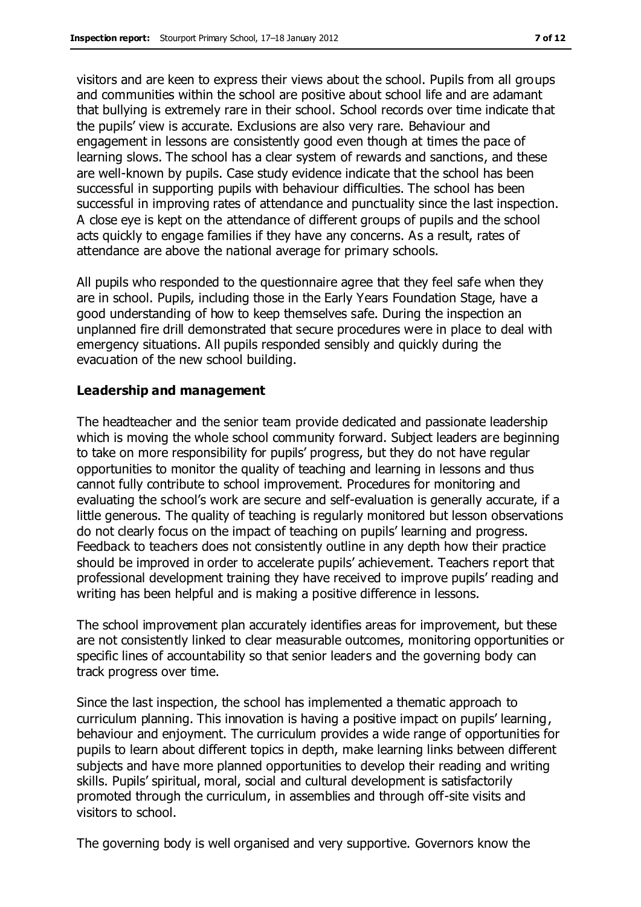visitors and are keen to express their views about the school. Pupils from all groups and communities within the school are positive about school life and are adamant that bullying is extremely rare in their school. School records over time indicate that the pupils' view is accurate. Exclusions are also very rare. Behaviour and engagement in lessons are consistently good even though at times the pace of learning slows. The school has a clear system of rewards and sanctions, and these are well-known by pupils. Case study evidence indicate that the school has been successful in supporting pupils with behaviour difficulties. The school has been successful in improving rates of attendance and punctuality since the last inspection. A close eye is kept on the attendance of different groups of pupils and the school acts quickly to engage families if they have any concerns. As a result, rates of attendance are above the national average for primary schools.

All pupils who responded to the questionnaire agree that they feel safe when they are in school. Pupils, including those in the Early Years Foundation Stage, have a good understanding of how to keep themselves safe. During the inspection an unplanned fire drill demonstrated that secure procedures were in place to deal with emergency situations. All pupils responded sensibly and quickly during the evacuation of the new school building.

#### **Leadership and management**

The headteacher and the senior team provide dedicated and passionate leadership which is moving the whole school community forward. Subject leaders are beginning to take on more responsibility for pupils' progress, but they do not have regular opportunities to monitor the quality of teaching and learning in lessons and thus cannot fully contribute to school improvement. Procedures for monitoring and evaluating the school's work are secure and self-evaluation is generally accurate, if a little generous. The quality of teaching is regularly monitored but lesson observations do not clearly focus on the impact of teaching on pupils' learning and progress. Feedback to teachers does not consistently outline in any depth how their practice should be improved in order to accelerate pupils' achievement. Teachers report that professional development training they have received to improve pupils' reading and writing has been helpful and is making a positive difference in lessons.

The school improvement plan accurately identifies areas for improvement, but these are not consistently linked to clear measurable outcomes, monitoring opportunities or specific lines of accountability so that senior leaders and the governing body can track progress over time.

Since the last inspection, the school has implemented a thematic approach to curriculum planning. This innovation is having a positive impact on pupils' learning, behaviour and enjoyment. The curriculum provides a wide range of opportunities for pupils to learn about different topics in depth, make learning links between different subjects and have more planned opportunities to develop their reading and writing skills. Pupils' spiritual, moral, social and cultural development is satisfactorily promoted through the curriculum, in assemblies and through off-site visits and visitors to school.

The governing body is well organised and very supportive. Governors know the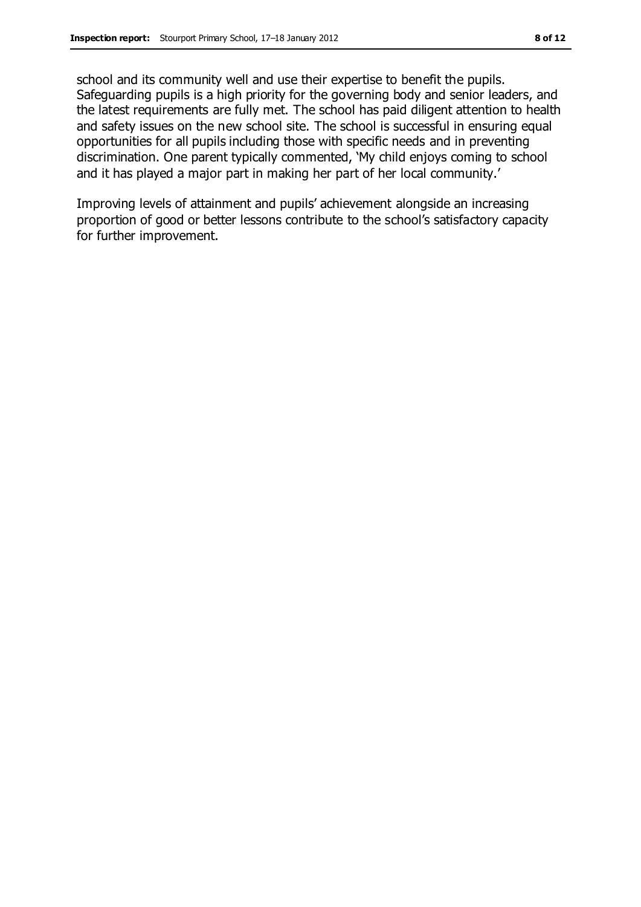school and its community well and use their expertise to benefit the pupils. Safeguarding pupils is a high priority for the governing body and senior leaders, and the latest requirements are fully met. The school has paid diligent attention to health and safety issues on the new school site. The school is successful in ensuring equal opportunities for all pupils including those with specific needs and in preventing discrimination. One parent typically commented, 'My child enjoys coming to school and it has played a major part in making her part of her local community.'

Improving levels of attainment and pupils' achievement alongside an increasing proportion of good or better lessons contribute to the school's satisfactory capacity for further improvement.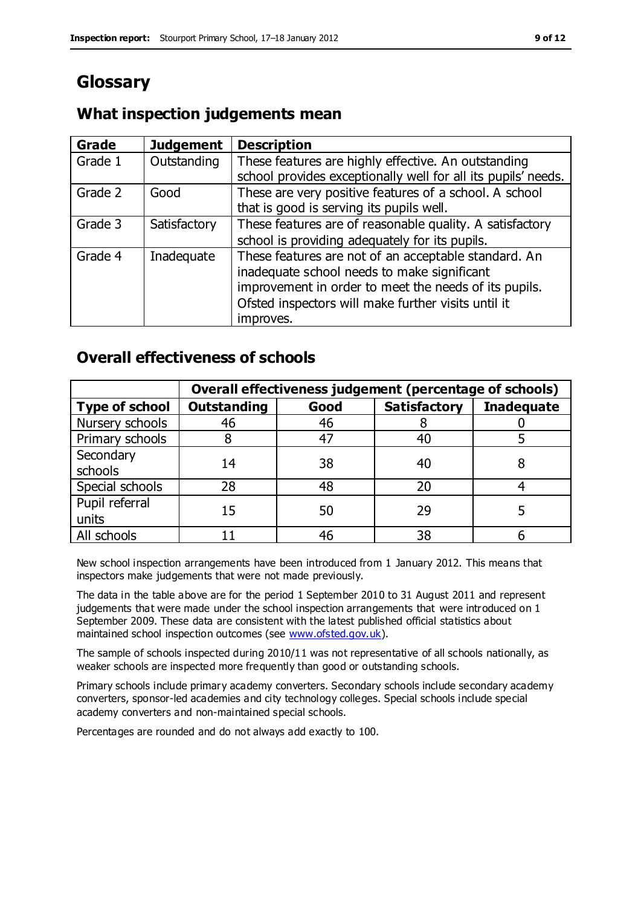# **Glossary**

### **What inspection judgements mean**

| <b>Grade</b> | <b>Judgement</b> | <b>Description</b>                                                                                                   |
|--------------|------------------|----------------------------------------------------------------------------------------------------------------------|
| Grade 1      | Outstanding      | These features are highly effective. An outstanding<br>school provides exceptionally well for all its pupils' needs. |
|              |                  |                                                                                                                      |
| Grade 2      | Good             | These are very positive features of a school. A school                                                               |
|              |                  | that is good is serving its pupils well.                                                                             |
| Grade 3      | Satisfactory     | These features are of reasonable quality. A satisfactory                                                             |
|              |                  | school is providing adequately for its pupils.                                                                       |
| Grade 4      | Inadequate       | These features are not of an acceptable standard. An<br>inadequate school needs to make significant                  |
|              |                  | improvement in order to meet the needs of its pupils.                                                                |
|              |                  | Ofsted inspectors will make further visits until it                                                                  |
|              |                  | improves.                                                                                                            |

### **Overall effectiveness of schools**

|                         | Overall effectiveness judgement (percentage of schools) |      |                     |                   |
|-------------------------|---------------------------------------------------------|------|---------------------|-------------------|
| <b>Type of school</b>   | <b>Outstanding</b>                                      | Good | <b>Satisfactory</b> | <b>Inadequate</b> |
| Nursery schools         | 46                                                      | 46   |                     |                   |
| Primary schools         |                                                         | 47   | 40                  |                   |
| Secondary<br>schools    | 14                                                      | 38   | 40                  |                   |
| Special schools         | 28                                                      | 48   | 20                  |                   |
| Pupil referral<br>units | 15                                                      | 50   | 29                  |                   |
| All schools             |                                                         | 46   | 38                  |                   |

New school inspection arrangements have been introduced from 1 January 2012. This means that inspectors make judgements that were not made previously.

The data in the table above are for the period 1 September 2010 to 31 August 2011 and represent judgements that were made under the school inspection arrangements that were introduced on 1 September 2009. These data are consistent with the latest published official statistics about maintained school inspection outcomes (see [www.ofsted.gov.uk\)](http://www.ofsted.gov.uk/).

The sample of schools inspected during 2010/11 was not representative of all schools nationally, as weaker schools are inspected more frequently than good or outstanding schools.

Primary schools include primary academy converters. Secondary schools include secondary academy converters, sponsor-led academies and city technology colleges. Special schools include special academy converters and non-maintained special schools.

Percentages are rounded and do not always add exactly to 100.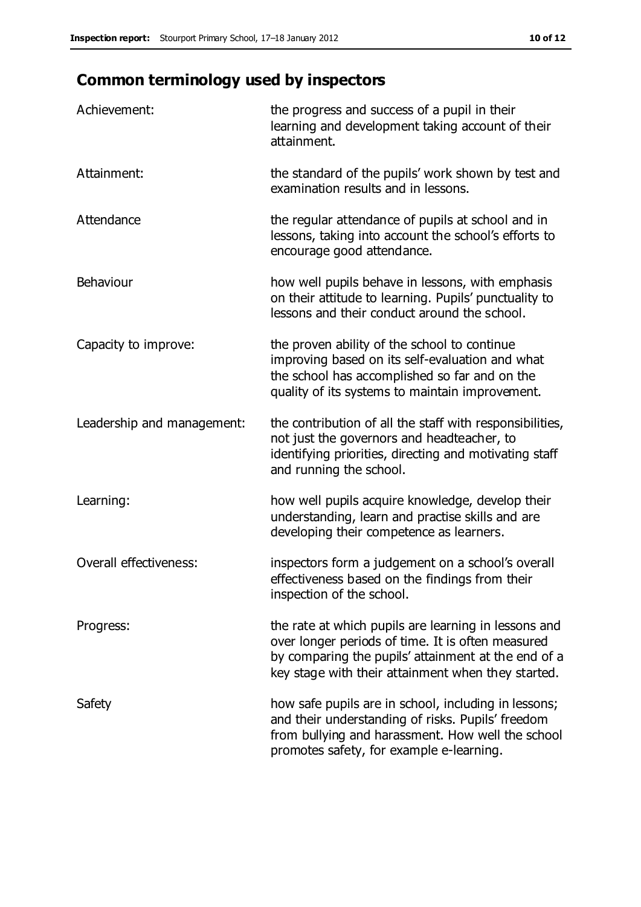# **Common terminology used by inspectors**

| Achievement:               | the progress and success of a pupil in their<br>learning and development taking account of their<br>attainment.                                                                                                        |
|----------------------------|------------------------------------------------------------------------------------------------------------------------------------------------------------------------------------------------------------------------|
| Attainment:                | the standard of the pupils' work shown by test and<br>examination results and in lessons.                                                                                                                              |
| Attendance                 | the regular attendance of pupils at school and in<br>lessons, taking into account the school's efforts to<br>encourage good attendance.                                                                                |
| Behaviour                  | how well pupils behave in lessons, with emphasis<br>on their attitude to learning. Pupils' punctuality to<br>lessons and their conduct around the school.                                                              |
| Capacity to improve:       | the proven ability of the school to continue<br>improving based on its self-evaluation and what<br>the school has accomplished so far and on the<br>quality of its systems to maintain improvement.                    |
| Leadership and management: | the contribution of all the staff with responsibilities,<br>not just the governors and headteacher, to<br>identifying priorities, directing and motivating staff<br>and running the school.                            |
| Learning:                  | how well pupils acquire knowledge, develop their<br>understanding, learn and practise skills and are<br>developing their competence as learners.                                                                       |
| Overall effectiveness:     | inspectors form a judgement on a school's overall<br>effectiveness based on the findings from their<br>inspection of the school.                                                                                       |
| Progress:                  | the rate at which pupils are learning in lessons and<br>over longer periods of time. It is often measured<br>by comparing the pupils' attainment at the end of a<br>key stage with their attainment when they started. |
| Safety                     | how safe pupils are in school, including in lessons;<br>and their understanding of risks. Pupils' freedom<br>from bullying and harassment. How well the school<br>promotes safety, for example e-learning.             |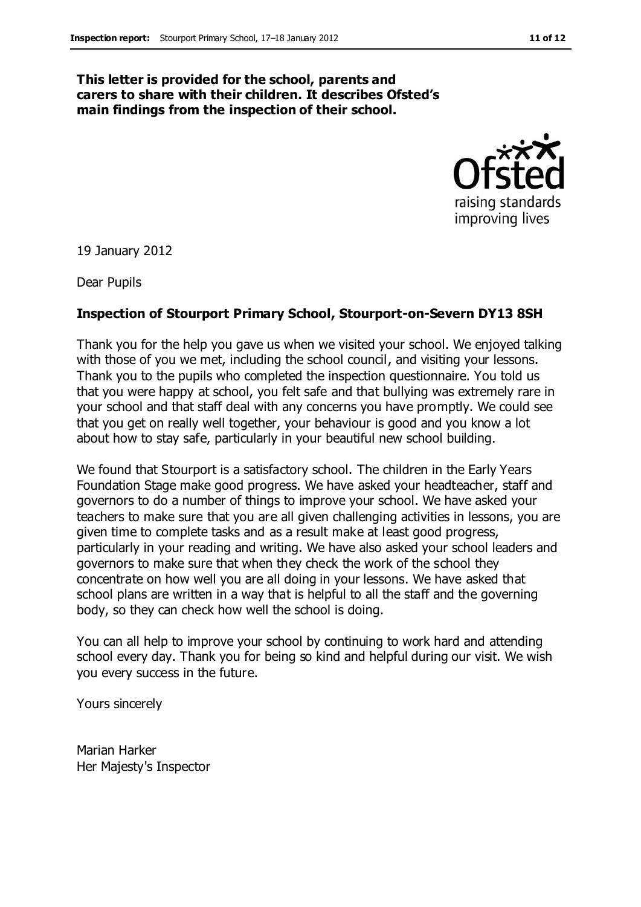#### **This letter is provided for the school, parents and carers to share with their children. It describes Ofsted's main findings from the inspection of their school.**



19 January 2012

Dear Pupils

#### **Inspection of Stourport Primary School, Stourport-on-Severn DY13 8SH**

Thank you for the help you gave us when we visited your school. We enjoyed talking with those of you we met, including the school council, and visiting your lessons. Thank you to the pupils who completed the inspection questionnaire. You told us that you were happy at school, you felt safe and that bullying was extremely rare in your school and that staff deal with any concerns you have promptly. We could see that you get on really well together, your behaviour is good and you know a lot about how to stay safe, particularly in your beautiful new school building.

We found that Stourport is a satisfactory school. The children in the Early Years Foundation Stage make good progress. We have asked your headteacher, staff and governors to do a number of things to improve your school. We have asked your teachers to make sure that you are all given challenging activities in lessons, you are given time to complete tasks and as a result make at least good progress, particularly in your reading and writing. We have also asked your school leaders and governors to make sure that when they check the work of the school they concentrate on how well you are all doing in your lessons. We have asked that school plans are written in a way that is helpful to all the staff and the governing body, so they can check how well the school is doing.

You can all help to improve your school by continuing to work hard and attending school every day. Thank you for being so kind and helpful during our visit. We wish you every success in the future.

Yours sincerely

Marian Harker Her Majesty's Inspector